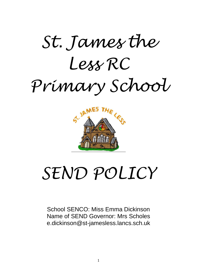



# *SEND POLICY*

School SENCO: Miss Emma Dickinson Name of SEND Governor: Mrs Scholes e.dickinson@st-jamesless.lancs.sch.uk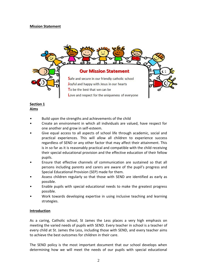# **Mission Statement**



## **Section 1 Aims**

- *•* Build upon the strengths and achievements of the child
- Create an environment in which all individuals are valued, have respect for one another and grow in self-esteem.
- Give equal access to all aspects of school life through academic, social and practical experiences. This will allow all children to experience success regardless of SEND or any other factor that may affect their attainment. This is in so far as it is reasonably practical and compatible with the child receiving their special educational provision and the effective education of their fellow pupils.
- Ensure that effective channels of communication are sustained so that all persons including parents and carers are aware of the pupil's progress and Special Educational Provision (SEP) made for them.
- Assess children regularly so that those with SEND are identified as early as possible.
- Enable pupils with special educational needs to make the greatest progress possible.
- Work towards developing expertise in using inclusive teaching and learning strategies.

# **Introduction**

As a caring, Catholic school, St James the Less places a very high emphasis on meeting the varied needs of pupils with SEND. Every teacher in school is a teacher of every child at St. James the Less, including those with SEND, and every teacher aims to achieve the best outcomes for children in their care.

The SEND policy is the most important document that our school develops when determining how we will meet the needs of our pupils with special educational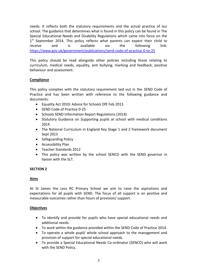needs. It reflects both the statutory requirements and the actual practice of our school. The guidance that determines what is found in this policy can be found in The Special Educational Needs and Disability Regulations which came into force on the 1<sup>st</sup> September 2014. This policy reflects what parents can expect their child to receive and is available via the following link: <https://www.gov.uk/government/publications/send-code-of-practice-0-to-25>

This policy should be read alongside other policies including those relating to curriculum, medical needs, equality, anti bullying, marking and feedback, positive behaviour and assessment.

# **Compliance**

This policy complies with the statutory requirement laid out in the SEND Code of Practice and has been written with reference to the following guidance and documents:

- Equality Act 2010: Advice for Schools DfE Feb 2013
- SEND Code of Practice 0-25
- Schools SEND Information Report Regulations (2014)
- Statutory Guidance on Supporting pupils at school with medical conditions 2014
- The National Curriculum in England Key Stage 1 and 2 framework document Sept 2013
- Safeguarding Policy
- Accessibility Plan
- Teacher Standards 2012
- This policy was written by the school SENCO with the SEND governor in liaison with the SLT.

# **SECTION 2**

## **Aims**

At St James the Less RC Primary School we aim to raise the aspirations and expectations for all pupils with SEND. The focus of all support is on positive and measurable outcomes rather than hours of provision/ support.

# **Objectives**

- To identify and provide for pupils who have special educational needs and additional needs.
- To work within the guidance provided within the SEND Code of Practice 2014.
- To operate a whole pupil/ whole school approach to the management and provision of support for special educational needs.
- To provide a Special Educational Needs Co-ordinator (SENCO) who will work with the SEND Policy.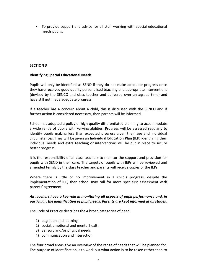To provide support and advice for all staff working with special educational needs pupils.

## **SECTION 3**

## **Identifying Special Educational Needs**

Pupils will only be identified as SEND if they do not make adequate progress once they have received good quality personalised teaching and appropriate interventions (devised by the SENCO and class teacher and delivered over an agreed time) and have still not made adequate progress.

If a teacher has a concern about a child, this is discussed with the SENCO and if further action is considered necessary, then parents will be informed.

School has adopted a policy of high quality differentiated planning to accommodate a wide range of pupils with varying abilities. Progress will be assessed regularly to identify pupils making less than expected progress given their age and individual circumstances. They will be given an **Individual Education Plan** (IEP) identifying their individual needs and extra teaching or interventions will be put in place to secure better progress.

It is the responsibility of all class teachers to monitor the support and provision for pupils with SEND in their care. The targets of pupils with IEPs will be reviewed and amended termly by the class teacher and parents will receive copies of the IEPs.

Where there is little or no improvement in a child's progress, despite the implementation of IEP, then school may call for more specialist assessment with parents' agreement.

# *All teachers have a key role in monitoring all aspects of pupil performance and, in particular, the identification of pupil needs. Parents are kept informed at all stages.*

The Code of Practice describes the 4 broad categories of need:

- 1) cognition and learning
- 2) social, emotional and mental health
- 3) Sensory and/or physical needs
- 4) communication and interaction

The four broad areas give an overview of the range of needs that will be planned for. The purpose of identification is to work out what action is to be taken rather than to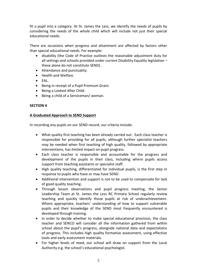fit a pupil into a category. At St. James the Less, we identify the needs of pupils by considering the needs of the whole child which will include not just their special educational needs.

There are occasions when progress and attainment are affected by factors other than special educational needs. For example:

- disability (the Code of Practice outlines the reasonable adjustment duty for all settings and schools provided under current Disability Equality legislation – these alone do not constitute SEND).
- Attendance and punctuality.
- Health and Welfare.
- EAL.
- Being in receipt of a Pupil Premium Grant.
- Being a Looked After Child.
- Being a child of a Serviceman/ woman.

#### **SECTION 4**

#### **A Graduated Approach to SEND Support**

In recording any pupils on our SEND record, our criteria include:

- What quality first teaching has been already carried out. Each class teacher is responsible for providing for all pupils, although further specialist teachers may be needed when first teaching of high quality, followed by appropriate interventions, has limited impact on pupil progress.
- Each class teacher is responsible and accountable for the progress and development of the pupils in their class, including where pupils access support from teaching assistants or specialist staff.
- High quality teaching, differentiated for individual pupils, is the first step in response to pupils who have or may have SEND.
- Additional intervention and support is not to be used to compensate for lack of good quality teaching.
- Through lesson observations and pupil progress meeting, the Senior Leadership Team at St. James the Less RC Primary School regularly review teaching and quickly identify those pupils at risk of underachievement. Where appropriate, teachers' understanding of how to support vulnerable pupils and their knowledge of the SEND most frequently encountered is developed through training.
- In order to decide whether to make special educational provision, the class teacher and SENCO will consider all the information gathered from within school about the pupil's progress, alongside national data and expectations of progress. This includes high quality formative assessment, using effective tools and early assessment materials.
- For higher levels of need, our school will draw on support from the Local Authority e.g. the school's educational psychologist.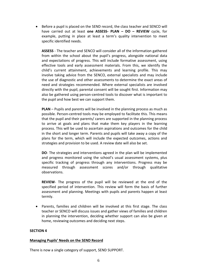Before a pupil is placed on the SEND record, the class teacher and SENCO will have carried out at least **one ASSESS- PLAN – DO – REVIEW** cycle, for example, putting in place at least a term's quality intervention to meet specific identified needs.

**ASSESS** - The teacher and SENCO will consider all of the information gathered from within the school about the pupil's progress, alongside national data and expectations of progress. This will include formative assessment, using effective tools and early assessment materials. From this, we identify the child's current attainment, achievements and learning profile. This may involve taking advice from the SENCO, external specialists and may include the use of diagnostic and other assessments to determine the exact areas of need and strategies recommended. Where external specialists are involved directly with the pupil, parental consent will be sought first. Information may also be gathered using person-centred tools to discover what is important to the pupil and how best we can support them.

**PLAN** – Pupils and parents will be involved in the planning process as much as possible. Person-centred tools may be employed to facilitate this. This means that the pupil and their parents/ carers are supported in the planning process to arrive at goals and plans that make them key players in the learning process. This will be used to ascertain aspirations and outcomes for the child in the short and longer term. Parents and pupils will take away a copy of the plans for the term, which will include the expected outcomes, actions and strategies and provision to be used. A review date will also be set.

**DO**- The strategies and interventions agreed in the plan will be implemented and progress monitored using the school's usual assessment systems, plus specific tracking of progress through any interventions. Progress may be measured through assessment scores and/or through qualitative observations.

**REVIEW**- The progress of the pupil will be reviewed at the end of the specified period of intervention. This review will form the basis of further assessment and planning. Meetings with pupils and parents happen at least termly.

 Parents, families and children will be involved at this first stage. The class teacher or SENCO will discuss issues and gather views of families and children in planning the intervention, deciding whether support can also be given at home, reviewing outcomes and deciding next steps.

# **SECTION 4**

## **Managing Pupils' Needs on the SEND Record**

There is now a single category of support, SEND SUPPORT.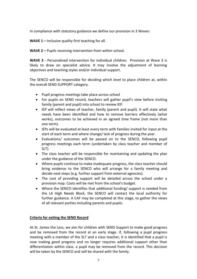In compliance with statutory guidance we define our provision in 3 Waves:

**WAVE 1 –** Inclusive quality first teaching for all.

**WAVE 2 –** Pupils receiving intervention from within school.

**WAVE 3 -** Personalised intervention for individual children. Provision at Wave 3 is likely to draw on specialist advice. It may involve the adjustment of learning objectives and teaching styles and/or individual support.

The SENCO will be responsible for deciding which level to place children at, within the overall SEND SUPPORT category.

- Pupil progress meetings take place across school
- For pupils on SEND record, teachers will gather pupil's view before inviting family (parent and pupil) into school to review IEP.
- IEP will reflect views of teacher, family (parent and pupil). It will state what needs have been identified and how to remove barriers effectively (what works), outcomes to be achieved in an agreed time frame (not more than one term).
- IEPs will be evaluated at least every term with families invited for input at the start of each term and where change/ lack of progress during the year.
- Evaluations/ outcomes will be passed on to the SENCO, following pupil progress meetings each term (undertaken by class teacher and member of SLT).
- The class teacher will be responsible for maintaining and updating the plan under the guidance of the SENCO.
- Where pupils continue to make inadequate progress, the class teacher should bring evidence to the SENCO who will arrange for a family meeting and decide next steps (e.g. further support from external agencies).
- The cost of providing support will be detailed across the school under a provision map. Costs will be met from the school's budget.
- Where the SENCO identifies that additional funding/ support is needed from the LA High Needs Block, the SENCO will contact the local authority for further guidance. A CAF may be completed at this stage, to gather the views of all relevant parties including parents and pupils.

## **Criteria for exiting the SEND Record**

At St. James the Less, we aim for children with SEND Support to make good progress and be removed from the record at an early stage. If, following a pupil progress meeting with a member of the SLT and a class teacher, it is identified that a pupil is now making good progress and no longer requires additional support other than differentiation within class, a pupil may be removed from the record. This decision will be taken by the SENCO and will be shared with the family.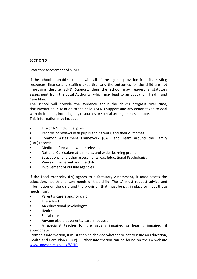# **SECTION 5**

## Statutory Assessment of SEND

If the school is unable to meet with all of the agreed provision from its existing resources, finance and staffing expertise; and the outcomes for the child are not improving despite SEND Support, then the school may request a statutory assessment from the Local Authority, which may lead to an Education, Health and Care Plan.

The school will provide the evidence about the child's progress over time, documentation in relation to the child's SEND Support and any action taken to deal with their needs, including any resources or special arrangements in place.

This information may include:

- The child's individual plans
- Records of reviews with pupils and parents, and their outcomes
- Common Assessment Framework (CAF) and Team around the Family (TAF) records
- Medical information where relevant
- National Curriculum attainment, and wider learning profile
- Educational and other assessments, e.g. Educational Psychologist
- Views of the parent and the child
- Involvement of outside agencies

If the Local Authority (LA) agrees to a Statutory Assessment, it must assess the education, health and care needs of that child. The LA must request advice and information on the child and the provision that must be put in place to meet those needs from:

- Parents/ carers and/ or child
- The school
- An educational psychologist
- Health
- Social care
- Anyone else that parents/ carers request

• A specialist teacher for the visually impaired or hearing impaired, if appropriate

From this information, it must then be decided whether or not to issue an Education, Health and Care Plan (EHCP). Further information can be found on the LA website [www.lancashire.gov.uk/SEND](http://www.lancashire.gov.uk/SEND)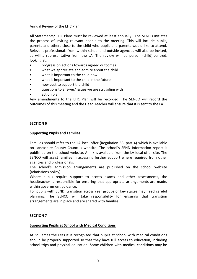# Annual Review of the EHC Plan

All Statements/ EHC Plans must be reviewed at least annually. The SENCO initiates the process of inviting relevant people to the meeting. This will include pupils, parents and others close to the child who pupils and parents would like to attend. Relevant professionals from within school and outside agencies will also be invited, as will a representative from the LA. The review will be person (child)-centred, looking at:

- progress on actions towards agreed outcomes
- what we appreciate and admire about the child
- what is important to the child now
- what is important to the child in the future
- how best to support the child
- questions to answer/ issues we are struggling with
- action plan

Any amendments to the EHC Plan will be recorded. The SENCO will record the outcomes of this meeting and the Head Teacher will ensure that it is sent to the LA.

## **SECTION 6**

## **Supporting Pupils and Families**

Families should refer to the LA local offer (Regulation 53, part 4) which is available on Lancashire County Council's website. The school's SEND Information report is published on the school website. A link is available from the LA local offer site. The SENCO will assist families in accessing further support where required from other agencies and professionals.

The school's admission arrangements are published on the school website (admissions policy).

Where pupils require support to access exams and other assessments, the headteacher is responsible for ensuring that appropriate arrangements are made, within government guidance.

For pupils with SEND, transition across year groups or key stages may need careful planning. The SENCO will take responsibility for ensuring that transition arrangements are in place and are shared with families.

# **SECTION 7**

## **Supporting Pupils at School with Medical Conditions**

At St. James the Less it is recognised that pupils at school with medical conditions should be properly supported so that they have full access to education, including school trips and physical education. Some children with medical conditions may be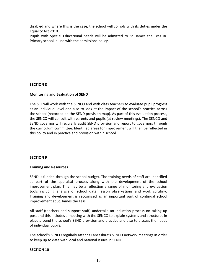disabled and where this is the case, the school will comply with its duties under the Equality Act 2010.

Pupils with Special Educational needs will be admitted to St. James the Less RC Primary school in line with the admissions policy.

# **SECTION 8**

## **Monitoring and Evaluation of SEND**

The SLT will work with the SENCO and with class teachers to evaluate pupil progress at an individual level and also to look at the impact of the school's practice across the school (recorded on the SEND provision map). As part of this evaluation process, the SENCO will consult with parents and pupils (at review meetings). The SENCO and SEND governor will regularly audit SEND provision and report to governors through the curriculum committee. Identified areas for improvement will then be reflected in this policy and in practice and provision within school.

## **SECTION 9**

## **Training and Resources**

SEND is funded through the school budget. The training needs of staff are identified as part of the appraisal process along with the development of the school improvement plan. This may be a reflection a range of monitoring and evaluation tools including analysis of school data, lesson observations and work scrutiny. Training and development is recognised as an important part of continual school improvement at St. James the Less.

All staff (teachers and support staff) undertake an induction process on taking up post and this includes a meeting with the SENCO to explain systems and structures in place around the school's SEND provision and practice and also to discuss the needs of individual pupils.

The school's SENCO regularly attends Lancashire's SENCO network meetings in order to keep up to date with local and national issues in SEND.

## **SECTION 10**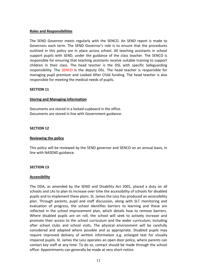## **Roles and Responsibilities**

The SEND Governor meets regularly with the SENCO. An SEND report is made to Governors each term. The SEND Governor's role is to ensure that the procedures outlined in this policy are in place across school. All teaching assistants in school support pupils with SEND, under the guidance of the class teacher. The SENCO is responsible for ensuring that teaching assistants receive suitable training to support children in their class. The head teacher is the DSL with specific Safeguarding responsibility. The SENCO is the deputy DSL. The head teacher is responsible for managing pupil premium and Looked After Child funding. The head teacher is also responsible for meeting the medical needs of pupils.

## **SECTION 11**

#### **Storing and Managing Information**

Documents are stored in a locked cupboard in the office. Documents are stored in line with Government guidance.

#### **SECTION 12**

#### **Reviewing the policy**

This policy will be reviewed by the SEND governor and SENCO on an annual basis, in line with NASEND guidance.

#### **SECTION 13**

#### **Accessibility**

The DDA, as amended by the SEND and Disability Act 2001, placed a duty on all schools and LAs to plan to increase over time the accessibility of schools for disabled pupils and to implement these plans. St. James the Less has produced an accessibility plan. Through parents, pupil and staff discussion, along with SLT monitoring and evaluation of progress, the school identifies barriers to learning and these are reflected in the school improvement plan, which details how to remove barriers. Where disabled pupils are on roll, the school will seek to actively increase and promote their access to the school curriculum and the wider curriculum, including after school clubs and school visits. The physical environment will be carefully considered and adapted where possible and as appropriate. Disabled pupils may require improved delivery of written information e.g. enlarged text for visually impaired pupils. St. James the Less operates an open door policy, where parents can contact key staff at any time. To do so, contact should be made through the school office. Appointments can generally be made at very short notice.